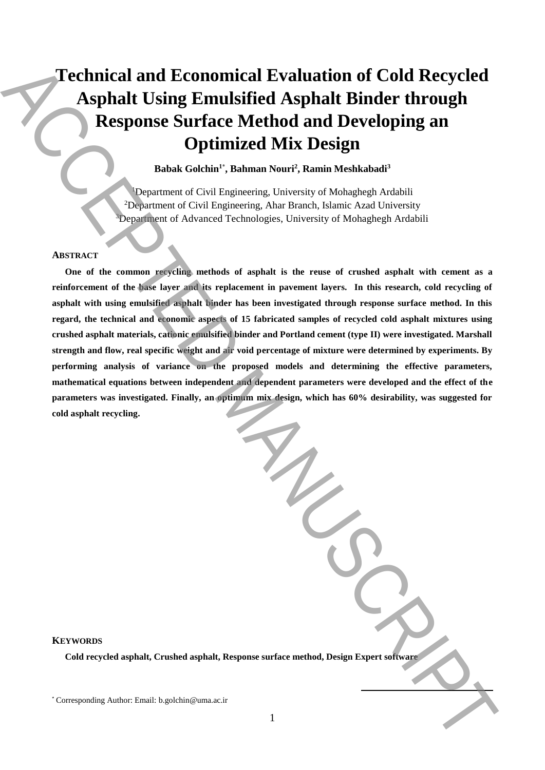# **Technical and Economical Evaluation of Cold Recycled Asphalt Using Emulsified Asphalt Binder through Response Surface Method and Developing an Optimized Mix Design**

**Babak Golchin<sup>1</sup>**\* **, Bahman Nouri<sup>2</sup> , Ramin Meshkabadi<sup>3</sup>**

<sup>1</sup>Department of Civil Engineering, University of Mohaghegh Ardabili <sup>2</sup>Department of Civil Engineering, Ahar Branch, Islamic Azad University <sup>3</sup>Department of Advanced Technologies, University of Mohaghegh Ardabili

## **ABSTRACT**

**One of the common recycling methods of asphalt is the reuse of crushed asphalt with cement as a reinforcement of the base layer and its replacement in pavement layers. In this research, cold recycling of asphalt with using emulsified asphalt binder has been investigated through response surface method. In this regard, the technical and economic aspects of 15 fabricated samples of recycled cold asphalt mixtures using crushed asphalt materials, cationic emulsified binder and Portland cement (type II) were investigated. Marshall strength and flow, real specific weight and air void percentage of mixture were determined by experiments. By performing analysis of variance on the proposed models and determining the effective parameters, mathematical equations between independent and dependent parameters were developed and the effect of the parameters was investigated. Finally, an optimum mix design, which has 60% desirability, was suggested for cold asphalt recycling.** Technical and Economical Evaluation of Cold Recycled<br>Asphalt Using Ermulsified Asphalt Binder through<br>Response Corresponding Authorities (Method and Developing an<br>issue Corresponding Authorities (Authorities (Authorities A

## **KEYWORDS**

**Cold recycled asphalt, Crushed asphalt, Response surface method, Design Expert software**

**.**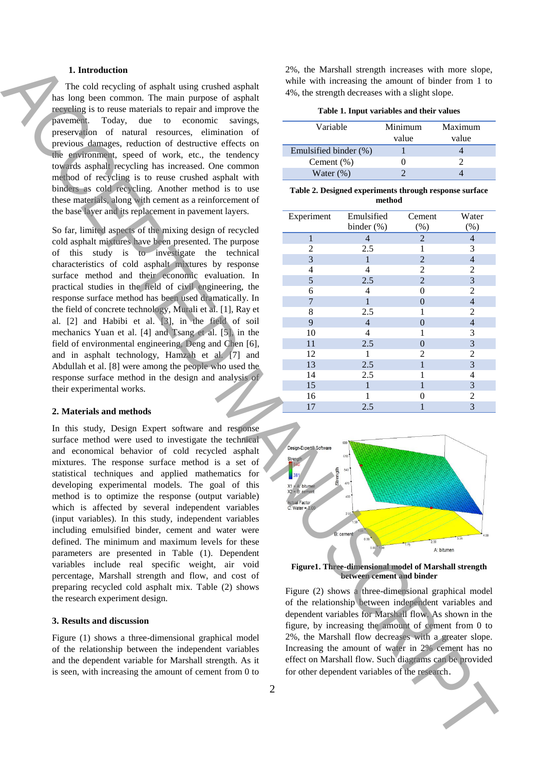## **1. Introduction**

## **2. Materials and methods**

### **3. Results and discussion**

#### **Table 1. Input variables and their values**

| Variable              | Minimum | Maximum |  |
|-----------------------|---------|---------|--|
|                       | value   | value   |  |
| Emulsified binder (%) |         |         |  |
| Cement $(\%)$         |         |         |  |
| Water $(\%)$          |         |         |  |

**Table 2. Designed experiments through response surface method**

| 1. Introduction                                                                                                                                                                                                                                                                                                                                                                                                                                                                                                                                                                                                                                                                                                                                                                                                                                                                                                                                                                                                                                                                                                                                                    | 2%, the Marshall strength increases with more slope,                                                                                                                                                                                                                                                                                                                                                                            |                                                            |                                                                                    |                                                                                                                                                                                        |
|--------------------------------------------------------------------------------------------------------------------------------------------------------------------------------------------------------------------------------------------------------------------------------------------------------------------------------------------------------------------------------------------------------------------------------------------------------------------------------------------------------------------------------------------------------------------------------------------------------------------------------------------------------------------------------------------------------------------------------------------------------------------------------------------------------------------------------------------------------------------------------------------------------------------------------------------------------------------------------------------------------------------------------------------------------------------------------------------------------------------------------------------------------------------|---------------------------------------------------------------------------------------------------------------------------------------------------------------------------------------------------------------------------------------------------------------------------------------------------------------------------------------------------------------------------------------------------------------------------------|------------------------------------------------------------|------------------------------------------------------------------------------------|----------------------------------------------------------------------------------------------------------------------------------------------------------------------------------------|
| The cold recycling of asphalt using crushed asphalt                                                                                                                                                                                                                                                                                                                                                                                                                                                                                                                                                                                                                                                                                                                                                                                                                                                                                                                                                                                                                                                                                                                |                                                                                                                                                                                                                                                                                                                                                                                                                                 |                                                            |                                                                                    | while with increasing the amount of binder from 1 to                                                                                                                                   |
| has long been common. The main purpose of asphalt                                                                                                                                                                                                                                                                                                                                                                                                                                                                                                                                                                                                                                                                                                                                                                                                                                                                                                                                                                                                                                                                                                                  | 4%, the strength decreases with a slight slope.                                                                                                                                                                                                                                                                                                                                                                                 |                                                            |                                                                                    |                                                                                                                                                                                        |
| recycling is to reuse materials to repair and improve the                                                                                                                                                                                                                                                                                                                                                                                                                                                                                                                                                                                                                                                                                                                                                                                                                                                                                                                                                                                                                                                                                                          | Table 1. Input variables and their values                                                                                                                                                                                                                                                                                                                                                                                       |                                                            |                                                                                    |                                                                                                                                                                                        |
| Today, due to economic<br>pavement.<br>savings,                                                                                                                                                                                                                                                                                                                                                                                                                                                                                                                                                                                                                                                                                                                                                                                                                                                                                                                                                                                                                                                                                                                    | Variable                                                                                                                                                                                                                                                                                                                                                                                                                        |                                                            | Minimum                                                                            | Maximum                                                                                                                                                                                |
| preservation of natural resources, elimination of                                                                                                                                                                                                                                                                                                                                                                                                                                                                                                                                                                                                                                                                                                                                                                                                                                                                                                                                                                                                                                                                                                                  |                                                                                                                                                                                                                                                                                                                                                                                                                                 |                                                            | value                                                                              | value                                                                                                                                                                                  |
| previous damages, reduction of destructive effects on                                                                                                                                                                                                                                                                                                                                                                                                                                                                                                                                                                                                                                                                                                                                                                                                                                                                                                                                                                                                                                                                                                              | Emulsified binder (%)                                                                                                                                                                                                                                                                                                                                                                                                           |                                                            |                                                                                    | 4                                                                                                                                                                                      |
| the environment, speed of work, etc., the tendency                                                                                                                                                                                                                                                                                                                                                                                                                                                                                                                                                                                                                                                                                                                                                                                                                                                                                                                                                                                                                                                                                                                 | Cement $(\% )$                                                                                                                                                                                                                                                                                                                                                                                                                  |                                                            | $\boldsymbol{0}$                                                                   | 2                                                                                                                                                                                      |
| towards asphalt recycling has increased. One common<br>method of recycling is to reuse crushed asphalt with                                                                                                                                                                                                                                                                                                                                                                                                                                                                                                                                                                                                                                                                                                                                                                                                                                                                                                                                                                                                                                                        | Water $(\%)$                                                                                                                                                                                                                                                                                                                                                                                                                    |                                                            | 2                                                                                  | $\overline{\mathcal{L}}$                                                                                                                                                               |
| binders as cold recycling. Another method is to use                                                                                                                                                                                                                                                                                                                                                                                                                                                                                                                                                                                                                                                                                                                                                                                                                                                                                                                                                                                                                                                                                                                |                                                                                                                                                                                                                                                                                                                                                                                                                                 |                                                            |                                                                                    |                                                                                                                                                                                        |
| these materials, along with cement as a reinforcement of                                                                                                                                                                                                                                                                                                                                                                                                                                                                                                                                                                                                                                                                                                                                                                                                                                                                                                                                                                                                                                                                                                           | Table 2. Designed experiments through response surface<br>method                                                                                                                                                                                                                                                                                                                                                                |                                                            |                                                                                    |                                                                                                                                                                                        |
| the base layer and its replacement in pavement layers.                                                                                                                                                                                                                                                                                                                                                                                                                                                                                                                                                                                                                                                                                                                                                                                                                                                                                                                                                                                                                                                                                                             | Experiment                                                                                                                                                                                                                                                                                                                                                                                                                      | Emulsified                                                 | Cement                                                                             | Water                                                                                                                                                                                  |
| So far, limited aspects of the mixing design of recycled                                                                                                                                                                                                                                                                                                                                                                                                                                                                                                                                                                                                                                                                                                                                                                                                                                                                                                                                                                                                                                                                                                           |                                                                                                                                                                                                                                                                                                                                                                                                                                 | binder $(\%)$                                              | $(\%)$                                                                             | (%)                                                                                                                                                                                    |
| cold asphalt mixtures have been presented. The purpose                                                                                                                                                                                                                                                                                                                                                                                                                                                                                                                                                                                                                                                                                                                                                                                                                                                                                                                                                                                                                                                                                                             | 1                                                                                                                                                                                                                                                                                                                                                                                                                               | $\overline{4}$                                             | $\overline{2}$                                                                     | $\overline{\mathcal{L}}$                                                                                                                                                               |
| of this study is to investigate the technical                                                                                                                                                                                                                                                                                                                                                                                                                                                                                                                                                                                                                                                                                                                                                                                                                                                                                                                                                                                                                                                                                                                      | 2                                                                                                                                                                                                                                                                                                                                                                                                                               | 2.5                                                        | 1                                                                                  | 3                                                                                                                                                                                      |
| characteristics of cold asphalt mixtures by response                                                                                                                                                                                                                                                                                                                                                                                                                                                                                                                                                                                                                                                                                                                                                                                                                                                                                                                                                                                                                                                                                                               | 3                                                                                                                                                                                                                                                                                                                                                                                                                               | 1                                                          | $\overline{2}$                                                                     | 4                                                                                                                                                                                      |
| surface method and their economic evaluation. In                                                                                                                                                                                                                                                                                                                                                                                                                                                                                                                                                                                                                                                                                                                                                                                                                                                                                                                                                                                                                                                                                                                   | 4                                                                                                                                                                                                                                                                                                                                                                                                                               | 4                                                          | 2                                                                                  | $\overline{c}$                                                                                                                                                                         |
| practical studies in the field of civil engineering, the                                                                                                                                                                                                                                                                                                                                                                                                                                                                                                                                                                                                                                                                                                                                                                                                                                                                                                                                                                                                                                                                                                           | 5                                                                                                                                                                                                                                                                                                                                                                                                                               | 2.5                                                        | $\overline{2}$                                                                     | 3                                                                                                                                                                                      |
| response surface method has been used dramatically. In                                                                                                                                                                                                                                                                                                                                                                                                                                                                                                                                                                                                                                                                                                                                                                                                                                                                                                                                                                                                                                                                                                             | 6                                                                                                                                                                                                                                                                                                                                                                                                                               | 4                                                          | $\mathbf{0}$                                                                       | 2                                                                                                                                                                                      |
| the field of concrete technology, Murali et al. [1], Ray et                                                                                                                                                                                                                                                                                                                                                                                                                                                                                                                                                                                                                                                                                                                                                                                                                                                                                                                                                                                                                                                                                                        | $\overline{7}$                                                                                                                                                                                                                                                                                                                                                                                                                  | $\mathbf{1}$                                               | $\boldsymbol{0}$                                                                   | $\overline{\mathcal{L}}$                                                                                                                                                               |
| al. [2] and Habibi et al. [3], in the field of soil                                                                                                                                                                                                                                                                                                                                                                                                                                                                                                                                                                                                                                                                                                                                                                                                                                                                                                                                                                                                                                                                                                                | 8<br>9                                                                                                                                                                                                                                                                                                                                                                                                                          | 2.5<br>$\overline{4}$                                      | 1                                                                                  | 2                                                                                                                                                                                      |
| mechanics Yuan et al. [4] and Tsang et al. [5], in the                                                                                                                                                                                                                                                                                                                                                                                                                                                                                                                                                                                                                                                                                                                                                                                                                                                                                                                                                                                                                                                                                                             | 10                                                                                                                                                                                                                                                                                                                                                                                                                              | 4                                                          | $\boldsymbol{0}$<br>1                                                              | $\overline{\mathcal{L}}$<br>3                                                                                                                                                          |
| field of environmental engineering, Deng and Chen [6],                                                                                                                                                                                                                                                                                                                                                                                                                                                                                                                                                                                                                                                                                                                                                                                                                                                                                                                                                                                                                                                                                                             | 11                                                                                                                                                                                                                                                                                                                                                                                                                              | 2.5                                                        | $\mathbf{0}$                                                                       | 3                                                                                                                                                                                      |
| and in asphalt technology, Hamzah et al. [7] and                                                                                                                                                                                                                                                                                                                                                                                                                                                                                                                                                                                                                                                                                                                                                                                                                                                                                                                                                                                                                                                                                                                   | 12                                                                                                                                                                                                                                                                                                                                                                                                                              | 1                                                          | 2                                                                                  | 2                                                                                                                                                                                      |
| Abdullah et al. [8] were among the people who used the                                                                                                                                                                                                                                                                                                                                                                                                                                                                                                                                                                                                                                                                                                                                                                                                                                                                                                                                                                                                                                                                                                             | 13                                                                                                                                                                                                                                                                                                                                                                                                                              | 2.5                                                        | $\mathbf{1}$                                                                       | 3                                                                                                                                                                                      |
| response surface method in the design and analysis of                                                                                                                                                                                                                                                                                                                                                                                                                                                                                                                                                                                                                                                                                                                                                                                                                                                                                                                                                                                                                                                                                                              | 14                                                                                                                                                                                                                                                                                                                                                                                                                              | 2.5                                                        | 1                                                                                  | 4                                                                                                                                                                                      |
| their experimental works.                                                                                                                                                                                                                                                                                                                                                                                                                                                                                                                                                                                                                                                                                                                                                                                                                                                                                                                                                                                                                                                                                                                                          | 15                                                                                                                                                                                                                                                                                                                                                                                                                              | 1                                                          | $\mathbf{1}$                                                                       | $\mathfrak{Z}$                                                                                                                                                                         |
|                                                                                                                                                                                                                                                                                                                                                                                                                                                                                                                                                                                                                                                                                                                                                                                                                                                                                                                                                                                                                                                                                                                                                                    | 16                                                                                                                                                                                                                                                                                                                                                                                                                              | 1                                                          | 0                                                                                  | $\overline{c}$                                                                                                                                                                         |
| 2. Materials and methods                                                                                                                                                                                                                                                                                                                                                                                                                                                                                                                                                                                                                                                                                                                                                                                                                                                                                                                                                                                                                                                                                                                                           | 17                                                                                                                                                                                                                                                                                                                                                                                                                              | 2.5                                                        |                                                                                    | 3                                                                                                                                                                                      |
| In this study, Design Expert software and response<br>surface method were used to investigate the technical<br>and economical behavior of cold recycled asphalt<br>mixtures. The response surface method is a set of<br>statistical techniques and applied mathematics for<br>developing experimental models. The goal of this<br>method is to optimize the response (output variable)<br>which is affected by several independent variables<br>(input variables). In this study, independent variables<br>including emulsified binder, cement and water were<br>defined. The minimum and maximum levels for these<br>parameters are presented in Table (1). Dependent<br>variables include real specific weight, air void<br>percentage, Marshall strength and flow, and cost of<br>preparing recycled cold asphalt mix. Table (2) shows<br>the research experiment design.<br>3. Results and discussion<br>Figure (1) shows a three-dimensional graphical model<br>of the relationship between the independent variables<br>and the dependent variable for Marshall strength. As it<br>is seen, with increasing the amount of cement from 0 to<br>$\overline{c}$ | Design-Expert® Software<br>Strength<br>Strength<br>381<br>$X1 = Ax$ bitumen<br>$X2 = B$ : cement<br><b>Actual Factor</b><br>$C: Water = 3/00$<br>of the relationship between independent variables and<br>figure, by increasing the amount of cement from 0 to<br>2%, the Marshall flow decreases with a greater slope.<br>Increasing the amount of water in 2% cement has no<br>for other dependent variables of the research. | 610<br>540<br>470<br>400<br>2.00 <sub>0</sub><br>B: cement | Figure1. Three-dimensional model of Marshall strength<br>between cement and binder | A: bitumen<br>Figure (2) shows a three-dimensional graphical model<br>dependent variables for Marshall flow. As shown in the<br>effect on Marshall flow. Such diagrams can be provided |
|                                                                                                                                                                                                                                                                                                                                                                                                                                                                                                                                                                                                                                                                                                                                                                                                                                                                                                                                                                                                                                                                                                                                                                    |                                                                                                                                                                                                                                                                                                                                                                                                                                 |                                                            |                                                                                    |                                                                                                                                                                                        |



**Figure1. Three-dimensional model of Marshall strength between cement and binder**